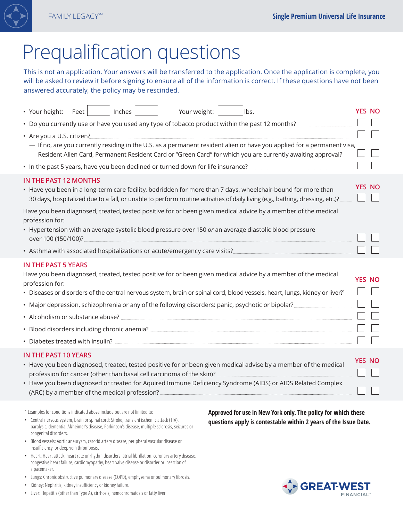

# Prequalification questions

This is not an application. Your answers will be transferred to the application. Once the application is complete, you will be asked to review it before signing to ensure all of the information is correct. If these questions have not been answered accurately, the policy may be rescinded.

| • Your height:<br>Feet                                                                                                                                                                                                                     | Inches | Your weight: |  | lbs.                                                                                                                                                                                                                                          |               | <b>YES NO</b> |  |
|--------------------------------------------------------------------------------------------------------------------------------------------------------------------------------------------------------------------------------------------|--------|--------------|--|-----------------------------------------------------------------------------------------------------------------------------------------------------------------------------------------------------------------------------------------------|---------------|---------------|--|
|                                                                                                                                                                                                                                            |        |              |  |                                                                                                                                                                                                                                               |               |               |  |
| • Are you a U.S. citizen?                                                                                                                                                                                                                  |        |              |  |                                                                                                                                                                                                                                               |               |               |  |
| - If no, are you currently residing in the U.S. as a permanent resident alien or have you applied for a permanent visa,<br>Resident Alien Card, Permanent Resident Card or "Green Card" for which you are currently awaiting approval?     |        |              |  |                                                                                                                                                                                                                                               |               |               |  |
|                                                                                                                                                                                                                                            |        |              |  |                                                                                                                                                                                                                                               |               |               |  |
| <b>IN THE PAST 12 MONTHS</b>                                                                                                                                                                                                               |        |              |  | • Have you been in a long-term care facility, bedridden for more than 7 days, wheelchair-bound for more than<br>30 days, hospitalized due to a fall, or unable to perform routine activities of daily living (e.g., bathing, dressing, etc.)? |               | <b>YES NO</b> |  |
| Have you been diagnosed, treated, tested positive for or been given medical advice by a member of the medical<br>profession for:<br>• Hypertension with an average systolic blood pressure over 150 or an average diastolic blood pressure |        |              |  |                                                                                                                                                                                                                                               |               |               |  |
|                                                                                                                                                                                                                                            |        |              |  |                                                                                                                                                                                                                                               |               |               |  |
|                                                                                                                                                                                                                                            |        |              |  |                                                                                                                                                                                                                                               |               |               |  |
| <b>IN THE PAST 5 YEARS</b><br>profession for:                                                                                                                                                                                              |        |              |  | Have you been diagnosed, treated, tested positive for or been given medical advice by a member of the medical                                                                                                                                 | <b>YES NO</b> |               |  |
| • Diseases or disorders of the central nervous system, brain or spinal cord, blood vessels, heart, lungs, kidney or liver? <sup>1</sup>                                                                                                    |        |              |  |                                                                                                                                                                                                                                               |               |               |  |
| • Major depression, schizophrenia or any of the following disorders: panic, psychotic or bipolar?                                                                                                                                          |        |              |  |                                                                                                                                                                                                                                               |               |               |  |
|                                                                                                                                                                                                                                            |        |              |  |                                                                                                                                                                                                                                               |               |               |  |
|                                                                                                                                                                                                                                            |        |              |  |                                                                                                                                                                                                                                               |               |               |  |
|                                                                                                                                                                                                                                            |        |              |  |                                                                                                                                                                                                                                               |               |               |  |
| <b>IN THE PAST 10 YEARS</b>                                                                                                                                                                                                                |        |              |  | • Have you been diagnosed, treated, tested positive for or been given medical advise by a member of the medical<br>• Have you been diagnosed or treated for Aquired Immune Deficiency Syndrome (AIDS) or AIDS Related Complex                 | <b>YES NO</b> |               |  |
|                                                                                                                                                                                                                                            |        |              |  |                                                                                                                                                                                                                                               |               |               |  |

1 Examples for conditions indicated above include but are not limited to:

- Central nervous system, brain or spinal cord: Stroke, transient ischemic attack (TIA), paralysis, dementia, Alzheimer's disease, Parkinson's disease, multiple sclerosis, seizures or congenital disorders.
- Blood vessels: Aortic aneurysm, carotid artery disease, peripheral vascular disease or insufficiency, or deep vein thrombosis.
- Heart: Heart attack, heart rate or rhythm disorders, atrial fibrillation, coronary artery disease, congestive heart failure, cardiomyopathy, heart valve disease or disorder or insertion of a pacemaker.
- Lungs: Chronic obstructive pulmonary disease (COPD), emphysema or pulmonary fibrosis.
- Kidney: Nephritis, kidney insufficiency or kidney failure.
- Liver: Hepatitis (other than Type A), cirrhosis, hemochromatosis or fatty liver.

**Approved for use in New York only. The policy for which these questions apply is contestable within 2 years of the Issue Date.**